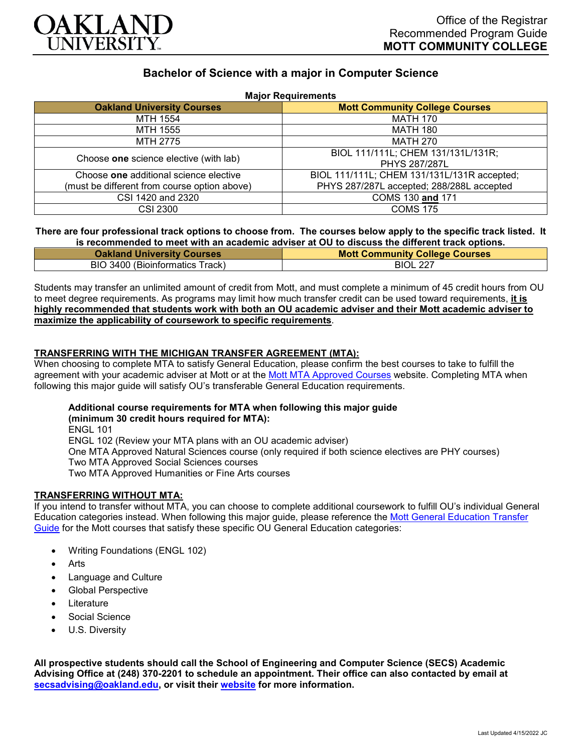

# **Bachelor of Science with a major in Computer Science**

| <b>Major Requirements</b>                    |                                             |
|----------------------------------------------|---------------------------------------------|
| <b>Oakland University Courses</b>            | <b>Mott Community College Courses</b>       |
| MTH 1554                                     | <b>MATH 170</b>                             |
| MTH 1555                                     | <b>MATH 180</b>                             |
| MTH 2775                                     | <b>MATH 270</b>                             |
| Choose one science elective (with lab)       | BIOL 111/111L; CHEM 131/131L/131R;          |
|                                              | <b>PHYS 287/287L</b>                        |
| Choose one additional science elective       | BIOL 111/111L; CHEM 131/131L/131R accepted; |
| (must be different from course option above) | PHYS 287/287L accepted; 288/288L accepted   |
| CSI 1420 and 2320                            | COMS 130 and 171                            |
| <b>CSI 2300</b>                              | <b>COMS 175</b>                             |

#### **There are four professional track options to choose from. The courses below apply to the specific track listed. It is recommended to meet with an academic adviser at OU to discuss the different track options.**

| <b>Oakland University Courses</b> | <b>Mott Community College Courses</b> |
|-----------------------------------|---------------------------------------|
| BIO 3400 (Bioinformatics Track)   | <b>BIOL 227</b>                       |

Students may transfer an unlimited amount of credit from Mott, and must complete a minimum of 45 credit hours from OU to meet degree requirements. As programs may limit how much transfer credit can be used toward requirements, **it is highly recommended that students work with both an OU academic adviser and their Mott academic adviser to maximize the applicability of coursework to specific requirements**.

### **TRANSFERRING WITH THE MICHIGAN TRANSFER AGREEMENT (MTA):**

When choosing to complete MTA to satisfy General Education, please confirm the best courses to take to fulfill the agreement with your academic adviser at Mott or at the [Mott MTA Approved Courses](https://www.mcc.edu/counseling_student_dev/casd_mi_transfer_agreement.shtml) website. Completing MTA when following this major guide will satisfy OU's transferable General Education requirements.

## **Additional course requirements for MTA when following this major guide**

**(minimum 30 credit hours required for MTA):** ENGL 101 ENGL 102 (Review your MTA plans with an OU academic adviser) One MTA Approved Natural Sciences course (only required if both science electives are PHY courses) Two MTA Approved Social Sciences courses Two MTA Approved Humanities or Fine Arts courses

### **TRANSFERRING WITHOUT MTA:**

If you intend to transfer without MTA, you can choose to complete additional coursework to fulfill OU's individual General Education categories instead. When following this major guide, please reference the [Mott General Education Transfer](https://www.oakland.edu/Assets/Oakland/program-guides/mott-community-college/university-general-education-requirements/Mott%20Gen%20Ed.pdf)  [Guide](https://www.oakland.edu/Assets/Oakland/program-guides/mott-community-college/university-general-education-requirements/Mott%20Gen%20Ed.pdf) for the Mott courses that satisfy these specific OU General Education categories:

- Writing Foundations (ENGL 102)
- **Arts**
- Language and Culture
- Global Perspective
- **Literature**
- Social Science
- U.S. Diversity

**All prospective students should call the School of Engineering and Computer Science (SECS) Academic Advising Office at (248) 370-2201 to schedule an appointment. Their office can also contacted by email at [secsadvising@oakland.edu,](mailto:secsadvising@oakland.edu) or visit their [website](https://wwwp.oakland.edu/secs/advising/) for more information.**